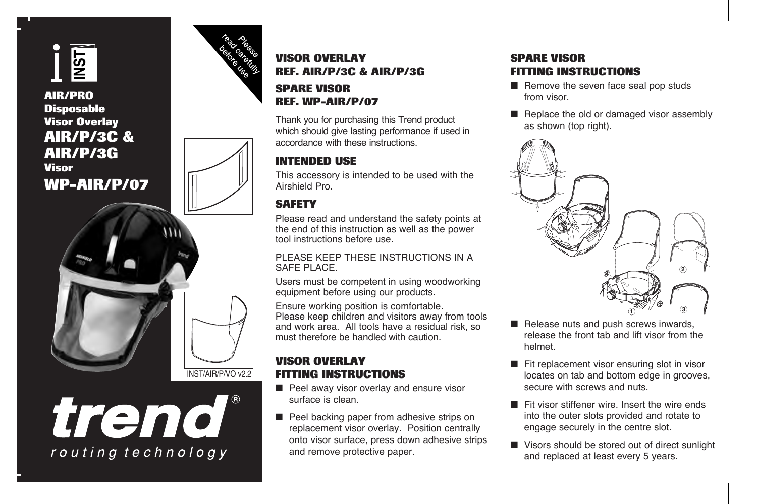

# **AIR/PRO Disposable Visor Overlay AIR/P/3C & AIR/P/3G Visor WP-AIR/P/07**







# **VISOR OVERLAY REF. AIR/P/3C & AIR/P/3G**

### **SPARE VISOR REF. WP-AIR/P/07**

Thank you for purchasing this Trend product which should give lasting performance if used in accordance with these instructions.

# **INTENDED USE**

This accessory is intended to be used with the Airshield Pro.

# **SAFETY**

Please read and understand the safety points at the end of this instruction as well as the power tool instructions before use.

### PLEASE KEEP THESE INSTRUCTIONS IN A SAFE PLACE.

Users must be competent in using woodworking equipment before using our products.

Ensure working position is comfortable. Please keep children and visitors away from tools and work area. All tools have a residual risk, so must therefore be handled with caution.

### **VISOR OVERLAY FITTING INSTRUCTIONS**

- Peel away visor overlay and ensure visor surface is clean.
- Peel backing paper from adhesive strips on replacement visor overlay. Position centrally onto visor surface, press down adhesive strips and remove protective paper.

# **SPARE VISOR FITTING INSTRUCTIONS**

- $\blacksquare$  Remove the seven face seal pop studs from visor.
- $\blacksquare$  Replace the old or damaged visor assembly as shown (top right).



- Release nuts and push screws inwards, release the front tab and lift visor from the helmet.
- Fit replacement visor ensuring slot in visor locates on tab and bottom edge in grooves, secure with screws and nuts.
- Fit visor stiffener wire. Insert the wire ends into the outer slots provided and rotate to engage securely in the centre slot.
- Visors should be stored out of direct sunlight and replaced at least every 5 years.